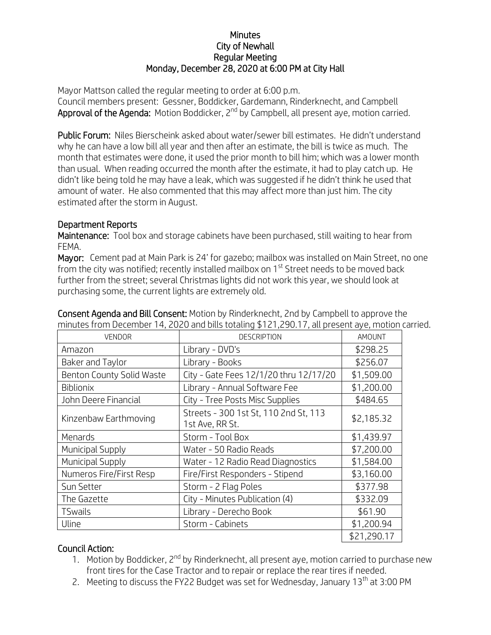## **Minutes** City of Newhall Regular Meeting Monday, December 28, 2020 at 6:00 PM at City Hall

Mayor Mattson called the regular meeting to order at 6:00 p.m. Council members present: Gessner, Boddicker, Gardemann, Rinderknecht, and Campbell Approval of the Agenda: Motion Boddicker, 2<sup>nd</sup> by Campbell, all present aye, motion carried.

Public Forum: Niles Bierscheink asked about water/sewer bill estimates. He didn't understand why he can have a low bill all year and then after an estimate, the bill is twice as much. The month that estimates were done, it used the prior month to bill him; which was a lower month than usual. When reading occurred the month after the estimate, it had to play catch up. He didn't like being told he may have a leak, which was suggested if he didn't think he used that amount of water. He also commented that this may affect more than just him. The city estimated after the storm in August.

## Department Reports

Maintenance: Tool box and storage cabinets have been purchased, still waiting to hear from FEMA.

Mayor: Cement pad at Main Park is 24' for gazebo; mailbox was installed on Main Street, no one from the city was notified; recently installed mailbox on 1<sup>st</sup> Street needs to be moved back further from the street; several Christmas lights did not work this year, we should look at purchasing some, the current lights are extremely old.

| <b>VENDOR</b>             | <b>DESCRIPTION</b>                                       | AMOUNT      |
|---------------------------|----------------------------------------------------------|-------------|
| Amazon                    | Library - DVD's                                          | \$298.25    |
| Baker and Taylor          | Library - Books                                          | \$256.07    |
| Benton County Solid Waste | City - Gate Fees 12/1/20 thru 12/17/20                   | \$1,509.00  |
| <b>Biblionix</b>          | Library - Annual Software Fee                            | \$1,200.00  |
| John Deere Financial      | City - Tree Posts Misc Supplies                          | \$484.65    |
| Kinzenbaw Earthmoving     | Streets - 300 1st St, 110 2nd St, 113<br>1st Ave, RR St. | \$2,185.32  |
| Menards                   | Storm - Tool Box                                         | \$1,439.97  |
| Municipal Supply          | Water - 50 Radio Reads                                   | \$7,200.00  |
| Municipal Supply          | Water - 12 Radio Read Diagnostics                        | \$1,584.00  |
| Numeros Fire/First Resp   | Fire/First Responders - Stipend                          | \$3,160.00  |
| Sun Setter                | Storm - 2 Flag Poles                                     | \$377.98    |
| The Gazette               | City - Minutes Publication (4)                           | \$332.09    |
| <b>TSwails</b>            | Library - Derecho Book                                   | \$61.90     |
| Uline                     | Storm - Cabinets                                         | \$1,200.94  |
|                           |                                                          | \$21,290.17 |

Consent Agenda and Bill Consent: Motion by Rinderknecht, 2nd by Campbell to approve the minutes from December 14, 2020 and bills totaling \$121,290.17, all present aye, motion carried.

## Council Action:

- 1. Motion by Boddicker, 2<sup>nd</sup> by Rinderknecht, all present aye, motion carried to purchase new front tires for the Case Tractor and to repair or replace the rear tires if needed.
- 2. Meeting to discuss the FY22 Budget was set for Wednesday, January  $13<sup>th</sup>$  at 3:00 PM